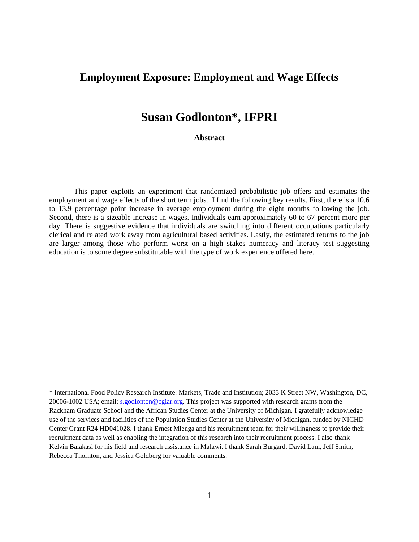# **Employment Exposure: Employment and Wage Effects**

# **Susan Godlonton\*, IFPRI**

**Abstract**

This paper exploits an experiment that randomized probabilistic job offers and estimates the employment and wage effects of the short term jobs. I find the following key results. First, there is a 10.6 to 13.9 percentage point increase in average employment during the eight months following the job. Second, there is a sizeable increase in wages. Individuals earn approximately 60 to 67 percent more per day. There is suggestive evidence that individuals are switching into different occupations particularly clerical and related work away from agricultural based activities. Lastly, the estimated returns to the job are larger among those who perform worst on a high stakes numeracy and literacy test suggesting education is to some degree substitutable with the type of work experience offered here.

\* International Food Policy Research Institute: Markets, Trade and Institution; 2033 K Street NW, Washington, DC, 20006-1002 USA; email: [s.godlonton@cgiar.org.](mailto:s.godlonton@cgiar.org) This project was supported with research grants from the Rackham Graduate School and the African Studies Center at the University of Michigan. I gratefully acknowledge use of the services and facilities of the Population Studies Center at the University of Michigan, funded by NICHD Center Grant R24 HD041028. I thank Ernest Mlenga and his recruitment team for their willingness to provide their recruitment data as well as enabling the integration of this research into their recruitment process. I also thank Kelvin Balakasi for his field and research assistance in Malawi. I thank Sarah Burgard, David Lam, Jeff Smith, Rebecca Thornton, and Jessica Goldberg for valuable comments.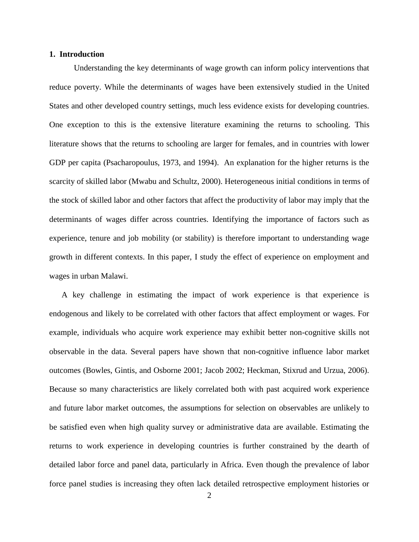# **1. Introduction**

Understanding the key determinants of wage growth can inform policy interventions that reduce poverty. While the determinants of wages have been extensively studied in the United States and other developed country settings, much less evidence exists for developing countries. One exception to this is the extensive literature examining the returns to schooling. This literature shows that the returns to schooling are larger for females, and in countries with lower GDP per capita (Psacharopoulus, 1973, and 1994). An explanation for the higher returns is the scarcity of skilled labor (Mwabu and Schultz, 2000). Heterogeneous initial conditions in terms of the stock of skilled labor and other factors that affect the productivity of labor may imply that the determinants of wages differ across countries. Identifying the importance of factors such as experience, tenure and job mobility (or stability) is therefore important to understanding wage growth in different contexts. In this paper, I study the effect of experience on employment and wages in urban Malawi.

A key challenge in estimating the impact of work experience is that experience is endogenous and likely to be correlated with other factors that affect employment or wages. For example, individuals who acquire work experience may exhibit better non-cognitive skills not observable in the data. Several papers have shown that non-cognitive influence labor market outcomes (Bowles, Gintis, and Osborne 2001; Jacob 2002; Heckman, Stixrud and Urzua, 2006). Because so many characteristics are likely correlated both with past acquired work experience and future labor market outcomes, the assumptions for selection on observables are unlikely to be satisfied even when high quality survey or administrative data are available. Estimating the returns to work experience in developing countries is further constrained by the dearth of detailed labor force and panel data, particularly in Africa. Even though the prevalence of labor force panel studies is increasing they often lack detailed retrospective employment histories or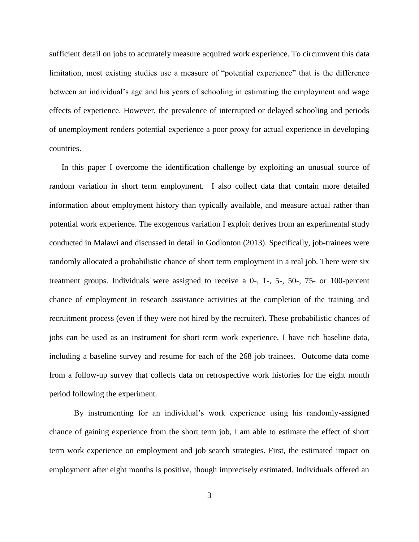sufficient detail on jobs to accurately measure acquired work experience. To circumvent this data limitation, most existing studies use a measure of "potential experience" that is the difference between an individual's age and his years of schooling in estimating the employment and wage effects of experience. However, the prevalence of interrupted or delayed schooling and periods of unemployment renders potential experience a poor proxy for actual experience in developing countries.

In this paper I overcome the identification challenge by exploiting an unusual source of random variation in short term employment. I also collect data that contain more detailed information about employment history than typically available, and measure actual rather than potential work experience. The exogenous variation I exploit derives from an experimental study conducted in Malawi and discussed in detail in Godlonton (2013). Specifically, job-trainees were randomly allocated a probabilistic chance of short term employment in a real job. There were six treatment groups. Individuals were assigned to receive a 0-, 1-, 5-, 50-, 75- or 100-percent chance of employment in research assistance activities at the completion of the training and recruitment process (even if they were not hired by the recruiter). These probabilistic chances of jobs can be used as an instrument for short term work experience. I have rich baseline data, including a baseline survey and resume for each of the 268 job trainees. Outcome data come from a follow-up survey that collects data on retrospective work histories for the eight month period following the experiment.

By instrumenting for an individual's work experience using his randomly-assigned chance of gaining experience from the short term job, I am able to estimate the effect of short term work experience on employment and job search strategies. First, the estimated impact on employment after eight months is positive, though imprecisely estimated. Individuals offered an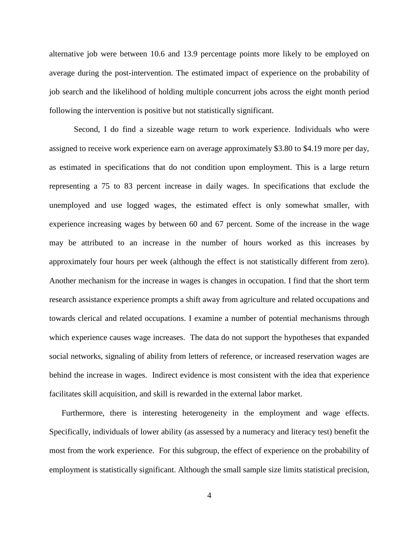alternative job were between 10.6 and 13.9 percentage points more likely to be employed on average during the post-intervention. The estimated impact of experience on the probability of job search and the likelihood of holding multiple concurrent jobs across the eight month period following the intervention is positive but not statistically significant.

Second, I do find a sizeable wage return to work experience. Individuals who were assigned to receive work experience earn on average approximately \$3.80 to \$4.19 more per day, as estimated in specifications that do not condition upon employment. This is a large return representing a 75 to 83 percent increase in daily wages. In specifications that exclude the unemployed and use logged wages, the estimated effect is only somewhat smaller, with experience increasing wages by between 60 and 67 percent. Some of the increase in the wage may be attributed to an increase in the number of hours worked as this increases by approximately four hours per week (although the effect is not statistically different from zero). Another mechanism for the increase in wages is changes in occupation. I find that the short term research assistance experience prompts a shift away from agriculture and related occupations and towards clerical and related occupations. I examine a number of potential mechanisms through which experience causes wage increases. The data do not support the hypotheses that expanded social networks, signaling of ability from letters of reference, or increased reservation wages are behind the increase in wages. Indirect evidence is most consistent with the idea that experience facilitates skill acquisition, and skill is rewarded in the external labor market.

Furthermore, there is interesting heterogeneity in the employment and wage effects. Specifically, individuals of lower ability (as assessed by a numeracy and literacy test) benefit the most from the work experience. For this subgroup, the effect of experience on the probability of employment is statistically significant. Although the small sample size limits statistical precision,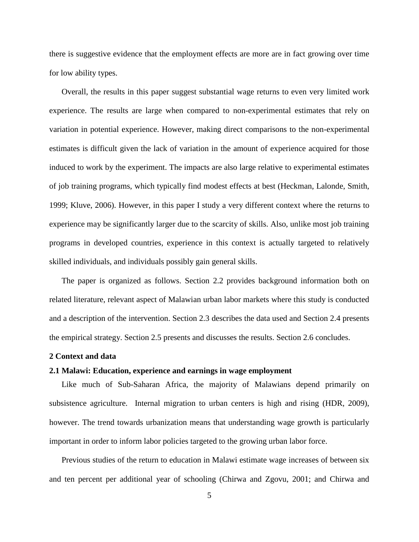there is suggestive evidence that the employment effects are more are in fact growing over time for low ability types.

Overall, the results in this paper suggest substantial wage returns to even very limited work experience. The results are large when compared to non-experimental estimates that rely on variation in potential experience. However, making direct comparisons to the non-experimental estimates is difficult given the lack of variation in the amount of experience acquired for those induced to work by the experiment. The impacts are also large relative to experimental estimates of job training programs, which typically find modest effects at best (Heckman, Lalonde, Smith, 1999; Kluve, 2006). However, in this paper I study a very different context where the returns to experience may be significantly larger due to the scarcity of skills. Also, unlike most job training programs in developed countries, experience in this context is actually targeted to relatively skilled individuals, and individuals possibly gain general skills.

The paper is organized as follows. Section 2.2 provides background information both on related literature, relevant aspect of Malawian urban labor markets where this study is conducted and a description of the intervention. Section 2.3 describes the data used and Section 2.4 presents the empirical strategy. Section 2.5 presents and discusses the results. Section 2.6 concludes.

## **2 Context and data**

## **2.1 Malawi: Education, experience and earnings in wage employment**

Like much of Sub-Saharan Africa, the majority of Malawians depend primarily on subsistence agriculture. Internal migration to urban centers is high and rising (HDR, 2009), however. The trend towards urbanization means that understanding wage growth is particularly important in order to inform labor policies targeted to the growing urban labor force.

Previous studies of the return to education in Malawi estimate wage increases of between six and ten percent per additional year of schooling (Chirwa and Zgovu, 2001; and Chirwa and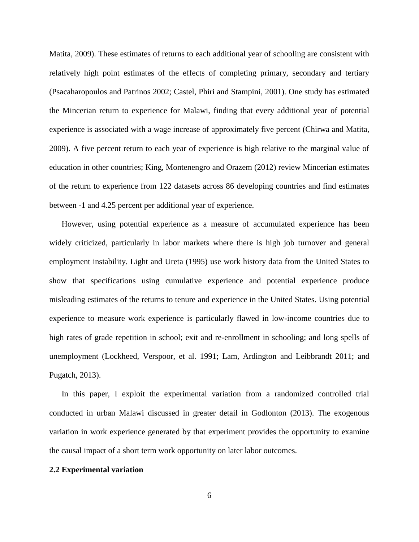Matita, 2009). These estimates of returns to each additional year of schooling are consistent with relatively high point estimates of the effects of completing primary, secondary and tertiary (Psacaharopoulos and Patrinos 2002; Castel, Phiri and Stampini, 2001). One study has estimated the Mincerian return to experience for Malawi, finding that every additional year of potential experience is associated with a wage increase of approximately five percent (Chirwa and Matita, 2009). A five percent return to each year of experience is high relative to the marginal value of education in other countries; King, Montenengro and Orazem (2012) review Mincerian estimates of the return to experience from 122 datasets across 86 developing countries and find estimates between -1 and 4.25 percent per additional year of experience.

However, using potential experience as a measure of accumulated experience has been widely criticized, particularly in labor markets where there is high job turnover and general employment instability. Light and Ureta (1995) use work history data from the United States to show that specifications using cumulative experience and potential experience produce misleading estimates of the returns to tenure and experience in the United States. Using potential experience to measure work experience is particularly flawed in low-income countries due to high rates of grade repetition in school; exit and re-enrollment in schooling; and long spells of unemployment (Lockheed, Verspoor, et al. 1991; Lam, Ardington and Leibbrandt 2011; and Pugatch, 2013).

In this paper, I exploit the experimental variation from a randomized controlled trial conducted in urban Malawi discussed in greater detail in Godlonton (2013). The exogenous variation in work experience generated by that experiment provides the opportunity to examine the causal impact of a short term work opportunity on later labor outcomes.

## **2.2 Experimental variation**

6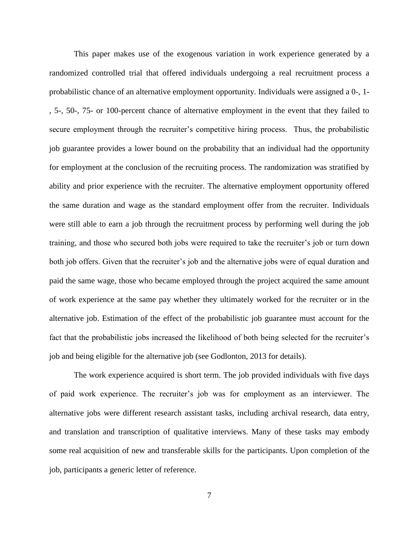This paper makes use of the exogenous variation in work experience generated by a randomized controlled trial that offered individuals undergoing a real recruitment process a probabilistic chance of an alternative employment opportunity. Individuals were assigned a 0-, 1- , 5-, 50-, 75- or 100-percent chance of alternative employment in the event that they failed to secure employment through the recruiter's competitive hiring process. Thus, the probabilistic job guarantee provides a lower bound on the probability that an individual had the opportunity for employment at the conclusion of the recruiting process. The randomization was stratified by ability and prior experience with the recruiter. The alternative employment opportunity offered the same duration and wage as the standard employment offer from the recruiter. Individuals were still able to earn a job through the recruitment process by performing well during the job training, and those who secured both jobs were required to take the recruiter's job or turn down both job offers. Given that the recruiter's job and the alternative jobs were of equal duration and paid the same wage, those who became employed through the project acquired the same amount of work experience at the same pay whether they ultimately worked for the recruiter or in the alternative job. Estimation of the effect of the probabilistic job guarantee must account for the fact that the probabilistic jobs increased the likelihood of both being selected for the recruiter's job and being eligible for the alternative job (see Godlonton, 2013 for details).

The work experience acquired is short term. The job provided individuals with five days of paid work experience. The recruiter's job was for employment as an interviewer. The alternative jobs were different research assistant tasks, including archival research, data entry, and translation and transcription of qualitative interviews. Many of these tasks may embody some real acquisition of new and transferable skills for the participants. Upon completion of the job, participants a generic letter of reference.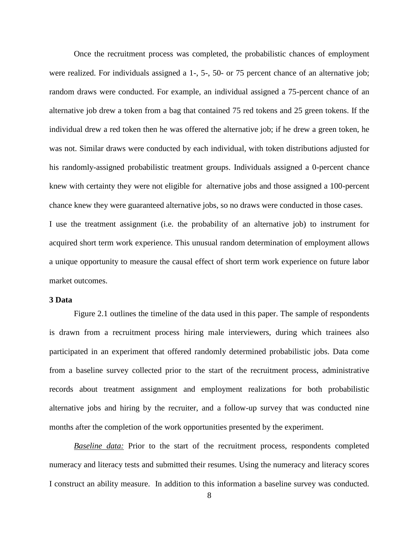Once the recruitment process was completed, the probabilistic chances of employment were realized. For individuals assigned a 1-, 5-, 50- or 75 percent chance of an alternative job; random draws were conducted. For example, an individual assigned a 75-percent chance of an alternative job drew a token from a bag that contained 75 red tokens and 25 green tokens. If the individual drew a red token then he was offered the alternative job; if he drew a green token, he was not. Similar draws were conducted by each individual, with token distributions adjusted for his randomly-assigned probabilistic treatment groups. Individuals assigned a 0-percent chance knew with certainty they were not eligible for alternative jobs and those assigned a 100-percent chance knew they were guaranteed alternative jobs, so no draws were conducted in those cases. I use the treatment assignment (i.e. the probability of an alternative job) to instrument for acquired short term work experience. This unusual random determination of employment allows a unique opportunity to measure the causal effect of short term work experience on future labor market outcomes.

### **3 Data**

Figure 2.1 outlines the timeline of the data used in this paper. The sample of respondents is drawn from a recruitment process hiring male interviewers, during which trainees also participated in an experiment that offered randomly determined probabilistic jobs. Data come from a baseline survey collected prior to the start of the recruitment process, administrative records about treatment assignment and employment realizations for both probabilistic alternative jobs and hiring by the recruiter, and a follow-up survey that was conducted nine months after the completion of the work opportunities presented by the experiment.

*Baseline data:* Prior to the start of the recruitment process, respondents completed numeracy and literacy tests and submitted their resumes. Using the numeracy and literacy scores I construct an ability measure. In addition to this information a baseline survey was conducted.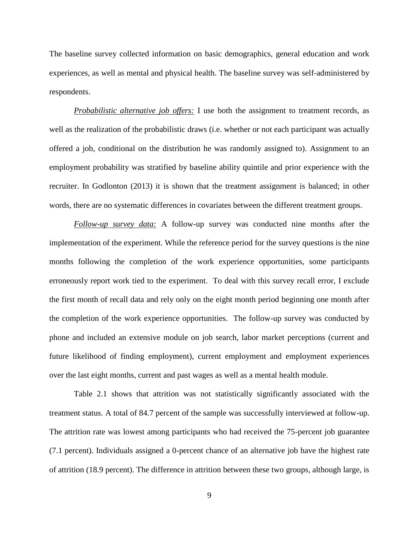The baseline survey collected information on basic demographics, general education and work experiences, as well as mental and physical health. The baseline survey was self-administered by respondents.

*Probabilistic alternative job offers:* I use both the assignment to treatment records, as well as the realization of the probabilistic draws (i.e. whether or not each participant was actually offered a job, conditional on the distribution he was randomly assigned to). Assignment to an employment probability was stratified by baseline ability quintile and prior experience with the recruiter. In Godlonton (2013) it is shown that the treatment assignment is balanced; in other words, there are no systematic differences in covariates between the different treatment groups.

*Follow-up survey data:* A follow-up survey was conducted nine months after the implementation of the experiment. While the reference period for the survey questions is the nine months following the completion of the work experience opportunities, some participants erroneously report work tied to the experiment. To deal with this survey recall error, I exclude the first month of recall data and rely only on the eight month period beginning one month after the completion of the work experience opportunities. The follow-up survey was conducted by phone and included an extensive module on job search, labor market perceptions (current and future likelihood of finding employment), current employment and employment experiences over the last eight months, current and past wages as well as a mental health module.

Table 2.1 shows that attrition was not statistically significantly associated with the treatment status. A total of 84.7 percent of the sample was successfully interviewed at follow-up. The attrition rate was lowest among participants who had received the 75-percent job guarantee (7.1 percent). Individuals assigned a 0-percent chance of an alternative job have the highest rate of attrition (18.9 percent). The difference in attrition between these two groups, although large, is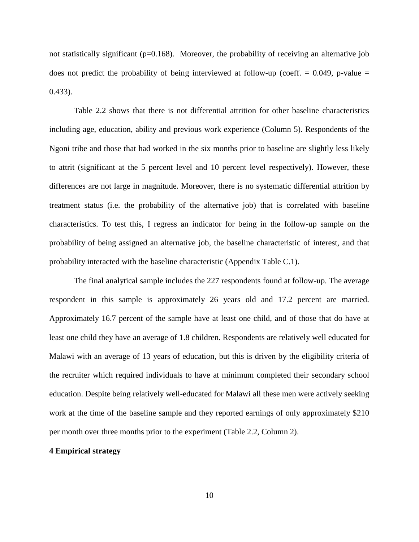not statistically significant ( $p=0.168$ ). Moreover, the probability of receiving an alternative job does not predict the probability of being interviewed at follow-up (coeff.  $= 0.049$ , p-value  $=$ 0.433).

Table 2.2 shows that there is not differential attrition for other baseline characteristics including age, education, ability and previous work experience (Column 5). Respondents of the Ngoni tribe and those that had worked in the six months prior to baseline are slightly less likely to attrit (significant at the 5 percent level and 10 percent level respectively). However, these differences are not large in magnitude. Moreover, there is no systematic differential attrition by treatment status (i.e. the probability of the alternative job) that is correlated with baseline characteristics. To test this, I regress an indicator for being in the follow-up sample on the probability of being assigned an alternative job, the baseline characteristic of interest, and that probability interacted with the baseline characteristic (Appendix Table C.1).

The final analytical sample includes the 227 respondents found at follow-up. The average respondent in this sample is approximately 26 years old and 17.2 percent are married. Approximately 16.7 percent of the sample have at least one child, and of those that do have at least one child they have an average of 1.8 children. Respondents are relatively well educated for Malawi with an average of 13 years of education, but this is driven by the eligibility criteria of the recruiter which required individuals to have at minimum completed their secondary school education. Despite being relatively well-educated for Malawi all these men were actively seeking work at the time of the baseline sample and they reported earnings of only approximately \$210 per month over three months prior to the experiment (Table 2.2, Column 2).

## **4 Empirical strategy**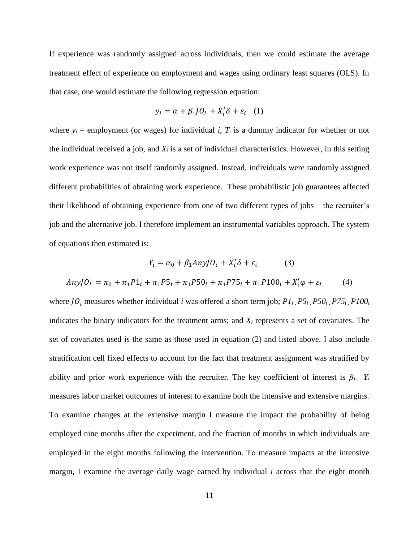If experience was randomly assigned across individuals, then we could estimate the average treatment effect of experience on employment and wages using ordinary least squares (OLS). In that case, one would estimate the following regression equation:

$$
y_i = \alpha + \beta_1 J O_i + X_i' \delta + \varepsilon_i \quad (1)
$$

where  $y_i$  = employment (or wages) for individual *i*,  $T_i$  is a dummy indicator for whether or not the individual received a job, and  $X_i$  is a set of individual characteristics. However, in this setting work experience was not itself randomly assigned. Instead, individuals were randomly assigned different probabilities of obtaining work experience. These probabilistic job guarantees affected their likelihood of obtaining experience from one of two different types of jobs – the recruiter's job and the alternative job. I therefore implement an instrumental variables approach. The system of equations then estimated is:

$$
Y_i = \alpha_0 + \beta_1 Any J O_i + X_i' \delta + \varepsilon_i \tag{3}
$$
  
Any  $J O_i = \pi_0 + \pi_1 P 1_i + \pi_1 P 5_i + \pi_1 P 5 0_i + \pi_1 P 7 5_i + \pi_1 P 1 0 0_i + X_i' \varphi + \varepsilon_i \tag{4}$ 

where  $JO_i$  measures whether individual *i* was offered a short term job;  $PI_i$ ,  $P5_i$ ,  $P50_i$ ,  $P75_i$ ,  $P100_i$ indicates the binary indicators for the treatment arms; and *X<sup>i</sup>* represents a set of covariates. The set of covariates used is the same as those used in equation (2) and listed above. I also include stratification cell fixed effects to account for the fact that treatment assignment was stratified by ability and prior work experience with the recruiter. The key coefficient of interest is  $\beta_l$ .  $Y_i$ measures labor market outcomes of interest to examine both the intensive and extensive margins. To examine changes at the extensive margin I measure the impact the probability of being employed nine months after the experiment, and the fraction of months in which individuals are employed in the eight months following the intervention. To measure impacts at the intensive margin, I examine the average daily wage earned by individual *i* across that the eight month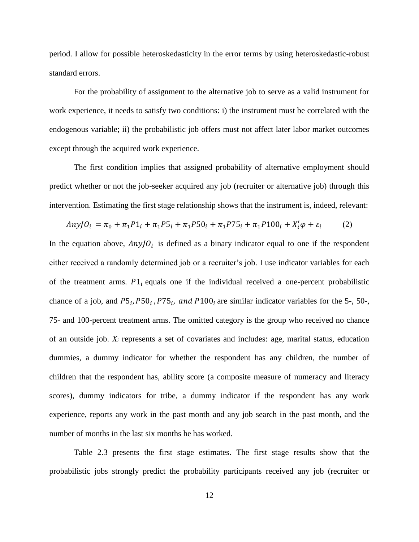period. I allow for possible heteroskedasticity in the error terms by using heteroskedastic-robust standard errors.

For the probability of assignment to the alternative job to serve as a valid instrument for work experience, it needs to satisfy two conditions: i) the instrument must be correlated with the endogenous variable; ii) the probabilistic job offers must not affect later labor market outcomes except through the acquired work experience.

The first condition implies that assigned probability of alternative employment should predict whether or not the job-seeker acquired any job (recruiter or alternative job) through this intervention. Estimating the first stage relationship shows that the instrument is, indeed, relevant:

$$
Any J O_i = \pi_0 + \pi_1 P 1_i + \pi_1 P 5_i + \pi_1 P 50_i + \pi_1 P 75_i + \pi_1 P 100_i + X'_i \varphi + \varepsilon_i \tag{2}
$$

In the equation above,  $AnyJO<sub>i</sub>$  is defined as a binary indicator equal to one if the respondent either received a randomly determined job or a recruiter's job. I use indicator variables for each of the treatment arms.  $P1_i$  equals one if the individual received a one-percent probabilistic chance of a job, and  $P5_i$ ,  $P50_i$ ,  $P75_i$ , and  $P100_i$  are similar indicator variables for the 5-, 50-, 75- and 100-percent treatment arms. The omitted category is the group who received no chance of an outside job. *X<sup>i</sup>* represents a set of covariates and includes: age, marital status, education dummies, a dummy indicator for whether the respondent has any children, the number of children that the respondent has, ability score (a composite measure of numeracy and literacy scores), dummy indicators for tribe, a dummy indicator if the respondent has any work experience, reports any work in the past month and any job search in the past month, and the number of months in the last six months he has worked.

Table 2.3 presents the first stage estimates. The first stage results show that the probabilistic jobs strongly predict the probability participants received any job (recruiter or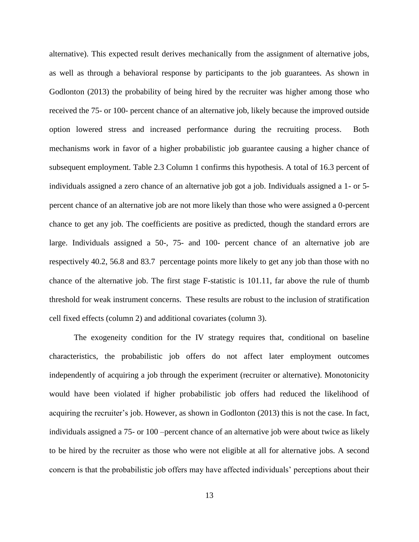alternative). This expected result derives mechanically from the assignment of alternative jobs, as well as through a behavioral response by participants to the job guarantees. As shown in Godlonton (2013) the probability of being hired by the recruiter was higher among those who received the 75- or 100- percent chance of an alternative job, likely because the improved outside option lowered stress and increased performance during the recruiting process. Both mechanisms work in favor of a higher probabilistic job guarantee causing a higher chance of subsequent employment. Table 2.3 Column 1 confirms this hypothesis. A total of 16.3 percent of individuals assigned a zero chance of an alternative job got a job. Individuals assigned a 1- or 5 percent chance of an alternative job are not more likely than those who were assigned a 0-percent chance to get any job. The coefficients are positive as predicted, though the standard errors are large. Individuals assigned a 50-, 75- and 100- percent chance of an alternative job are respectively 40.2, 56.8 and 83.7 percentage points more likely to get any job than those with no chance of the alternative job. The first stage F-statistic is 101.11, far above the rule of thumb threshold for weak instrument concerns. These results are robust to the inclusion of stratification cell fixed effects (column 2) and additional covariates (column 3).

The exogeneity condition for the IV strategy requires that, conditional on baseline characteristics, the probabilistic job offers do not affect later employment outcomes independently of acquiring a job through the experiment (recruiter or alternative). Monotonicity would have been violated if higher probabilistic job offers had reduced the likelihood of acquiring the recruiter's job. However, as shown in Godlonton (2013) this is not the case. In fact, individuals assigned a 75- or 100 –percent chance of an alternative job were about twice as likely to be hired by the recruiter as those who were not eligible at all for alternative jobs. A second concern is that the probabilistic job offers may have affected individuals' perceptions about their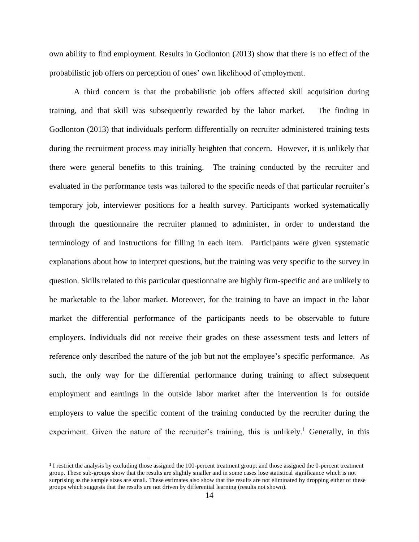own ability to find employment. Results in Godlonton (2013) show that there is no effect of the probabilistic job offers on perception of ones' own likelihood of employment.

A third concern is that the probabilistic job offers affected skill acquisition during training, and that skill was subsequently rewarded by the labor market. The finding in Godlonton (2013) that individuals perform differentially on recruiter administered training tests during the recruitment process may initially heighten that concern. However, it is unlikely that there were general benefits to this training. The training conducted by the recruiter and evaluated in the performance tests was tailored to the specific needs of that particular recruiter's temporary job, interviewer positions for a health survey. Participants worked systematically through the questionnaire the recruiter planned to administer, in order to understand the terminology of and instructions for filling in each item. Participants were given systematic explanations about how to interpret questions, but the training was very specific to the survey in question. Skills related to this particular questionnaire are highly firm-specific and are unlikely to be marketable to the labor market. Moreover, for the training to have an impact in the labor market the differential performance of the participants needs to be observable to future employers. Individuals did not receive their grades on these assessment tests and letters of reference only described the nature of the job but not the employee's specific performance. As such, the only way for the differential performance during training to affect subsequent employment and earnings in the outside labor market after the intervention is for outside employers to value the specific content of the training conducted by the recruiter during the experiment. Given the nature of the recruiter's training, this is unlikely.<sup>1</sup> Generally, in this

 $\overline{\phantom{a}}$ 

<sup>&</sup>lt;sup>1</sup> I restrict the analysis by excluding those assigned the 100-percent treatment group; and those assigned the 0-percent treatment group. These sub-groups show that the results are slightly smaller and in some cases lose statistical significance which is not surprising as the sample sizes are small. These estimates also show that the results are not eliminated by dropping either of these groups which suggests that the results are not driven by differential learning (results not shown).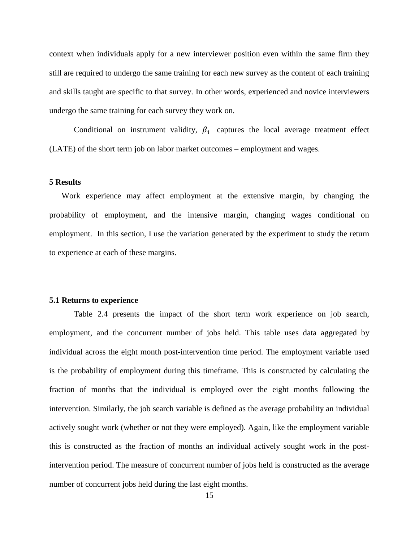context when individuals apply for a new interviewer position even within the same firm they still are required to undergo the same training for each new survey as the content of each training and skills taught are specific to that survey. In other words, experienced and novice interviewers undergo the same training for each survey they work on.

Conditional on instrument validity,  $\beta_1$  captures the local average treatment effect (LATE) of the short term job on labor market outcomes – employment and wages.

# **5 Results**

Work experience may affect employment at the extensive margin, by changing the probability of employment, and the intensive margin, changing wages conditional on employment. In this section, I use the variation generated by the experiment to study the return to experience at each of these margins.

#### **5.1 Returns to experience**

Table 2.4 presents the impact of the short term work experience on job search, employment, and the concurrent number of jobs held. This table uses data aggregated by individual across the eight month post-intervention time period. The employment variable used is the probability of employment during this timeframe. This is constructed by calculating the fraction of months that the individual is employed over the eight months following the intervention. Similarly, the job search variable is defined as the average probability an individual actively sought work (whether or not they were employed). Again, like the employment variable this is constructed as the fraction of months an individual actively sought work in the postintervention period. The measure of concurrent number of jobs held is constructed as the average number of concurrent jobs held during the last eight months.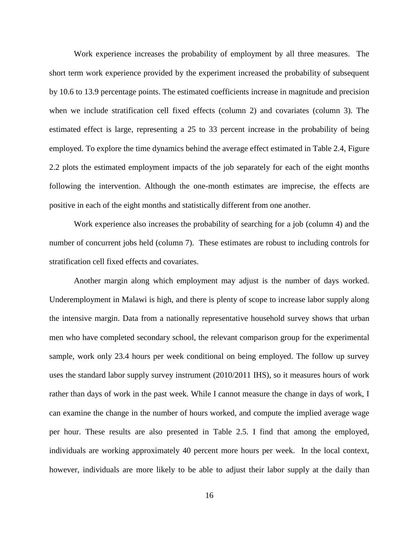Work experience increases the probability of employment by all three measures. The short term work experience provided by the experiment increased the probability of subsequent by 10.6 to 13.9 percentage points. The estimated coefficients increase in magnitude and precision when we include stratification cell fixed effects (column 2) and covariates (column 3). The estimated effect is large, representing a 25 to 33 percent increase in the probability of being employed. To explore the time dynamics behind the average effect estimated in Table 2.4, Figure 2.2 plots the estimated employment impacts of the job separately for each of the eight months following the intervention. Although the one-month estimates are imprecise, the effects are positive in each of the eight months and statistically different from one another.

Work experience also increases the probability of searching for a job (column 4) and the number of concurrent jobs held (column 7). These estimates are robust to including controls for stratification cell fixed effects and covariates.

Another margin along which employment may adjust is the number of days worked. Underemployment in Malawi is high, and there is plenty of scope to increase labor supply along the intensive margin. Data from a nationally representative household survey shows that urban men who have completed secondary school, the relevant comparison group for the experimental sample, work only 23.4 hours per week conditional on being employed. The follow up survey uses the standard labor supply survey instrument (2010/2011 IHS), so it measures hours of work rather than days of work in the past week. While I cannot measure the change in days of work, I can examine the change in the number of hours worked, and compute the implied average wage per hour. These results are also presented in Table 2.5. I find that among the employed, individuals are working approximately 40 percent more hours per week. In the local context, however, individuals are more likely to be able to adjust their labor supply at the daily than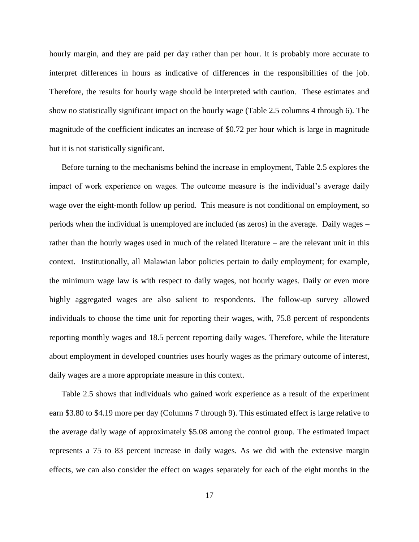hourly margin, and they are paid per day rather than per hour. It is probably more accurate to interpret differences in hours as indicative of differences in the responsibilities of the job. Therefore, the results for hourly wage should be interpreted with caution. These estimates and show no statistically significant impact on the hourly wage (Table 2.5 columns 4 through 6). The magnitude of the coefficient indicates an increase of \$0.72 per hour which is large in magnitude but it is not statistically significant.

Before turning to the mechanisms behind the increase in employment, Table 2.5 explores the impact of work experience on wages. The outcome measure is the individual's average daily wage over the eight-month follow up period. This measure is not conditional on employment, so periods when the individual is unemployed are included (as zeros) in the average. Daily wages – rather than the hourly wages used in much of the related literature – are the relevant unit in this context. Institutionally, all Malawian labor policies pertain to daily employment; for example, the minimum wage law is with respect to daily wages, not hourly wages. Daily or even more highly aggregated wages are also salient to respondents. The follow-up survey allowed individuals to choose the time unit for reporting their wages, with, 75.8 percent of respondents reporting monthly wages and 18.5 percent reporting daily wages. Therefore, while the literature about employment in developed countries uses hourly wages as the primary outcome of interest, daily wages are a more appropriate measure in this context.

Table 2.5 shows that individuals who gained work experience as a result of the experiment earn \$3.80 to \$4.19 more per day (Columns 7 through 9). This estimated effect is large relative to the average daily wage of approximately \$5.08 among the control group. The estimated impact represents a 75 to 83 percent increase in daily wages. As we did with the extensive margin effects, we can also consider the effect on wages separately for each of the eight months in the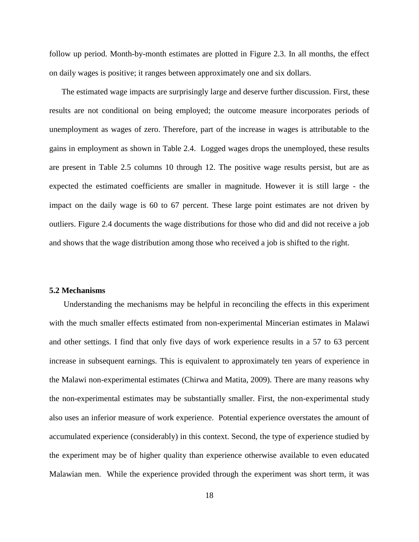follow up period. Month-by-month estimates are plotted in Figure 2.3. In all months, the effect on daily wages is positive; it ranges between approximately one and six dollars.

The estimated wage impacts are surprisingly large and deserve further discussion. First, these results are not conditional on being employed; the outcome measure incorporates periods of unemployment as wages of zero. Therefore, part of the increase in wages is attributable to the gains in employment as shown in Table 2.4. Logged wages drops the unemployed, these results are present in Table 2.5 columns 10 through 12. The positive wage results persist, but are as expected the estimated coefficients are smaller in magnitude. However it is still large - the impact on the daily wage is 60 to 67 percent. These large point estimates are not driven by outliers. Figure 2.4 documents the wage distributions for those who did and did not receive a job and shows that the wage distribution among those who received a job is shifted to the right.

## **5.2 Mechanisms**

Understanding the mechanisms may be helpful in reconciling the effects in this experiment with the much smaller effects estimated from non-experimental Mincerian estimates in Malawi and other settings. I find that only five days of work experience results in a 57 to 63 percent increase in subsequent earnings. This is equivalent to approximately ten years of experience in the Malawi non-experimental estimates (Chirwa and Matita, 2009). There are many reasons why the non-experimental estimates may be substantially smaller. First, the non-experimental study also uses an inferior measure of work experience. Potential experience overstates the amount of accumulated experience (considerably) in this context. Second, the type of experience studied by the experiment may be of higher quality than experience otherwise available to even educated Malawian men. While the experience provided through the experiment was short term, it was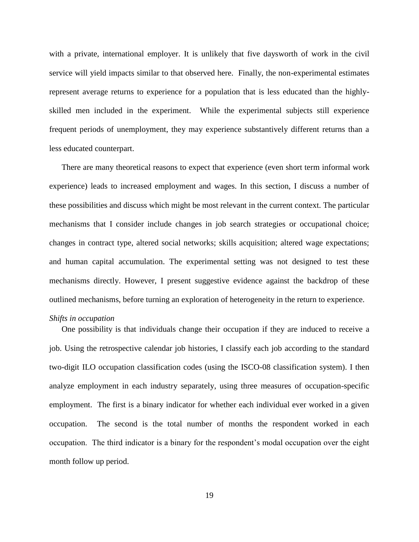with a private, international employer. It is unlikely that five daysworth of work in the civil service will yield impacts similar to that observed here. Finally, the non-experimental estimates represent average returns to experience for a population that is less educated than the highlyskilled men included in the experiment. While the experimental subjects still experience frequent periods of unemployment, they may experience substantively different returns than a less educated counterpart.

There are many theoretical reasons to expect that experience (even short term informal work experience) leads to increased employment and wages. In this section, I discuss a number of these possibilities and discuss which might be most relevant in the current context. The particular mechanisms that I consider include changes in job search strategies or occupational choice; changes in contract type, altered social networks; skills acquisition; altered wage expectations; and human capital accumulation. The experimental setting was not designed to test these mechanisms directly. However, I present suggestive evidence against the backdrop of these outlined mechanisms, before turning an exploration of heterogeneity in the return to experience.

#### *Shifts in occupation*

One possibility is that individuals change their occupation if they are induced to receive a job. Using the retrospective calendar job histories, I classify each job according to the standard two-digit ILO occupation classification codes (using the ISCO-08 classification system). I then analyze employment in each industry separately, using three measures of occupation-specific employment. The first is a binary indicator for whether each individual ever worked in a given occupation. The second is the total number of months the respondent worked in each occupation. The third indicator is a binary for the respondent's modal occupation over the eight month follow up period.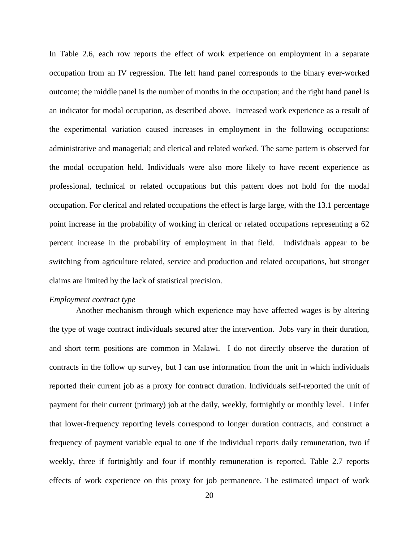In Table 2.6, each row reports the effect of work experience on employment in a separate occupation from an IV regression. The left hand panel corresponds to the binary ever-worked outcome; the middle panel is the number of months in the occupation; and the right hand panel is an indicator for modal occupation, as described above. Increased work experience as a result of the experimental variation caused increases in employment in the following occupations: administrative and managerial; and clerical and related worked. The same pattern is observed for the modal occupation held. Individuals were also more likely to have recent experience as professional, technical or related occupations but this pattern does not hold for the modal occupation. For clerical and related occupations the effect is large large, with the 13.1 percentage point increase in the probability of working in clerical or related occupations representing a 62 percent increase in the probability of employment in that field. Individuals appear to be switching from agriculture related, service and production and related occupations, but stronger claims are limited by the lack of statistical precision.

## *Employment contract type*

Another mechanism through which experience may have affected wages is by altering the type of wage contract individuals secured after the intervention. Jobs vary in their duration, and short term positions are common in Malawi. I do not directly observe the duration of contracts in the follow up survey, but I can use information from the unit in which individuals reported their current job as a proxy for contract duration. Individuals self-reported the unit of payment for their current (primary) job at the daily, weekly, fortnightly or monthly level. I infer that lower-frequency reporting levels correspond to longer duration contracts, and construct a frequency of payment variable equal to one if the individual reports daily remuneration, two if weekly, three if fortnightly and four if monthly remuneration is reported. Table 2.7 reports effects of work experience on this proxy for job permanence. The estimated impact of work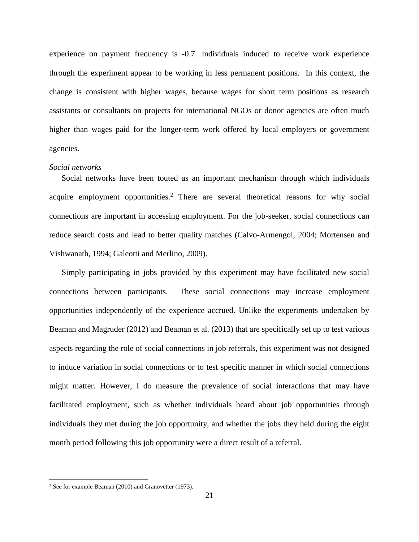experience on payment frequency is -0.7. Individuals induced to receive work experience through the experiment appear to be working in less permanent positions. In this context, the change is consistent with higher wages, because wages for short term positions as research assistants or consultants on projects for international NGOs or donor agencies are often much higher than wages paid for the longer-term work offered by local employers or government agencies.

## *Social networks*

Social networks have been touted as an important mechanism through which individuals acquire employment opportunities.<sup>2</sup> There are several theoretical reasons for why social connections are important in accessing employment. For the job-seeker, social connections can reduce search costs and lead to better quality matches (Calvo-Armengol, 2004; Mortensen and Vishwanath, 1994; Galeotti and Merlino, 2009).

Simply participating in jobs provided by this experiment may have facilitated new social connections between participants. These social connections may increase employment opportunities independently of the experience accrued. Unlike the experiments undertaken by Beaman and Magruder (2012) and Beaman et al. (2013) that are specifically set up to test various aspects regarding the role of social connections in job referrals, this experiment was not designed to induce variation in social connections or to test specific manner in which social connections might matter. However, I do measure the prevalence of social interactions that may have facilitated employment, such as whether individuals heard about job opportunities through individuals they met during the job opportunity, and whether the jobs they held during the eight month period following this job opportunity were a direct result of a referral.

 $\overline{\phantom{a}}$ 

<sup>2</sup> See for example Beaman (2010) and Granovetter (1973).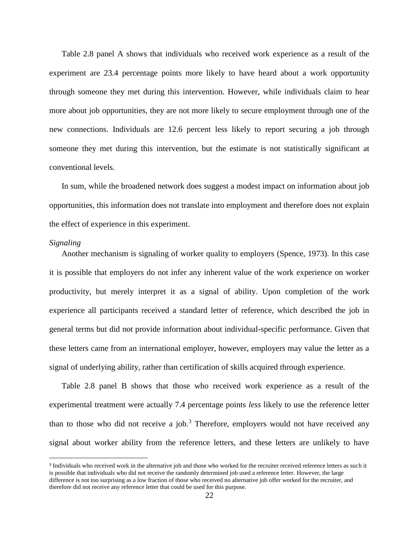Table 2.8 panel A shows that individuals who received work experience as a result of the experiment are 23.4 percentage points more likely to have heard about a work opportunity through someone they met during this intervention. However, while individuals claim to hear more about job opportunities, they are not more likely to secure employment through one of the new connections. Individuals are 12.6 percent less likely to report securing a job through someone they met during this intervention, but the estimate is not statistically significant at conventional levels.

In sum, while the broadened network does suggest a modest impact on information about job opportunities, this information does not translate into employment and therefore does not explain the effect of experience in this experiment.

### *Signaling*

 $\overline{\phantom{a}}$ 

Another mechanism is signaling of worker quality to employers (Spence, 1973). In this case it is possible that employers do not infer any inherent value of the work experience on worker productivity, but merely interpret it as a signal of ability. Upon completion of the work experience all participants received a standard letter of reference, which described the job in general terms but did not provide information about individual-specific performance. Given that these letters came from an international employer, however, employers may value the letter as a signal of underlying ability, rather than certification of skills acquired through experience.

Table 2.8 panel B shows that those who received work experience as a result of the experimental treatment were actually 7.4 percentage points *less* likely to use the reference letter than to those who did not receive a job.<sup>3</sup> Therefore, employers would not have received any signal about worker ability from the reference letters, and these letters are unlikely to have

<sup>&</sup>lt;sup>3</sup> Individuals who received work in the alternative job and those who worked for the recruiter received reference letters as such it is possible that individuals who did not receive the randomly determined job used a reference letter. However, the large difference is not too surprising as a low fraction of those who received no alternative job offer worked for the recruiter, and therefore did not receive any reference letter that could be used for this purpose.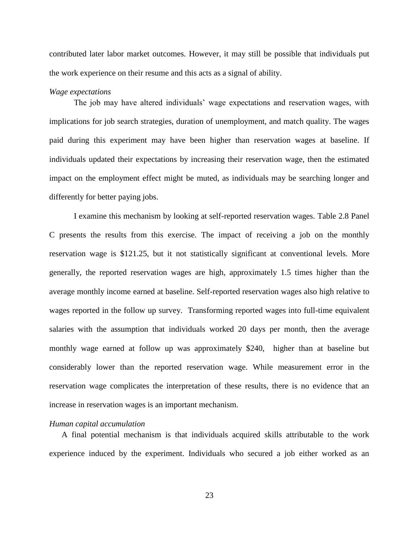contributed later labor market outcomes. However, it may still be possible that individuals put the work experience on their resume and this acts as a signal of ability.

## *Wage expectations*

The job may have altered individuals' wage expectations and reservation wages, with implications for job search strategies, duration of unemployment, and match quality. The wages paid during this experiment may have been higher than reservation wages at baseline. If individuals updated their expectations by increasing their reservation wage, then the estimated impact on the employment effect might be muted, as individuals may be searching longer and differently for better paying jobs.

I examine this mechanism by looking at self-reported reservation wages. Table 2.8 Panel C presents the results from this exercise. The impact of receiving a job on the monthly reservation wage is \$121.25, but it not statistically significant at conventional levels. More generally, the reported reservation wages are high, approximately 1.5 times higher than the average monthly income earned at baseline. Self-reported reservation wages also high relative to wages reported in the follow up survey. Transforming reported wages into full-time equivalent salaries with the assumption that individuals worked 20 days per month, then the average monthly wage earned at follow up was approximately \$240, higher than at baseline but considerably lower than the reported reservation wage. While measurement error in the reservation wage complicates the interpretation of these results, there is no evidence that an increase in reservation wages is an important mechanism.

#### *Human capital accumulation*

A final potential mechanism is that individuals acquired skills attributable to the work experience induced by the experiment. Individuals who secured a job either worked as an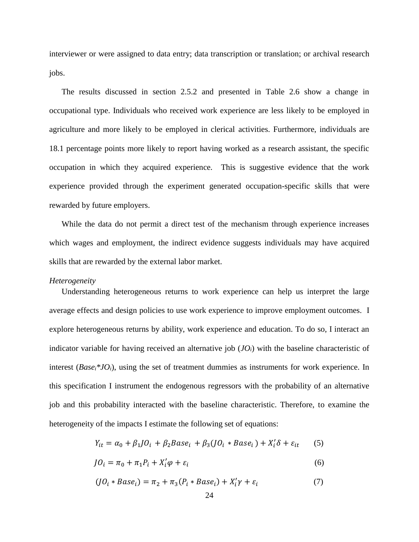interviewer or were assigned to data entry; data transcription or translation; or archival research jobs.

The results discussed in section 2.5.2 and presented in Table 2.6 show a change in occupational type. Individuals who received work experience are less likely to be employed in agriculture and more likely to be employed in clerical activities. Furthermore, individuals are 18.1 percentage points more likely to report having worked as a research assistant, the specific occupation in which they acquired experience. This is suggestive evidence that the work experience provided through the experiment generated occupation-specific skills that were rewarded by future employers.

While the data do not permit a direct test of the mechanism through experience increases which wages and employment, the indirect evidence suggests individuals may have acquired skills that are rewarded by the external labor market.

#### *Heterogeneity*

Understanding heterogeneous returns to work experience can help us interpret the large average effects and design policies to use work experience to improve employment outcomes. I explore heterogeneous returns by ability, work experience and education. To do so, I interact an indicator variable for having received an alternative job  $(JO_i)$  with the baseline characteristic of interest (*Base<sub>i</sub>*<sup>\*</sup>*JO*<sub>*i*</sub>), using the set of treatment dummies as instruments for work experience. In this specification I instrument the endogenous regressors with the probability of an alternative job and this probability interacted with the baseline characteristic. Therefore, to examine the heterogeneity of the impacts I estimate the following set of equations:

$$
Y_{it} = \alpha_0 + \beta_1 J O_i + \beta_2 Base_i + \beta_3 (J O_i * Base_i) + X_i' \delta + \varepsilon_{it} \tag{5}
$$

$$
JO_i = \pi_0 + \pi_1 P_i + X'_i \varphi + \varepsilon_i \tag{6}
$$

$$
(JOi * Basei) = \pi2 + \pi3(Pi * Basei) + X'i \gamma + \varepsiloni
$$
\n(7)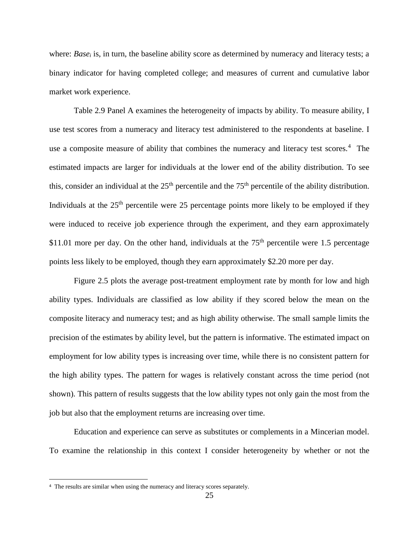where: *Base<sub>i</sub>* is, in turn, the baseline ability score as determined by numeracy and literacy tests; a binary indicator for having completed college; and measures of current and cumulative labor market work experience.

Table 2.9 Panel A examines the heterogeneity of impacts by ability. To measure ability, I use test scores from a numeracy and literacy test administered to the respondents at baseline. I use a composite measure of ability that combines the numeracy and literacy test scores.<sup>4</sup> The estimated impacts are larger for individuals at the lower end of the ability distribution. To see this, consider an individual at the  $25<sup>th</sup>$  percentile and the  $75<sup>th</sup>$  percentile of the ability distribution. Individuals at the  $25<sup>th</sup>$  percentile were 25 percentage points more likely to be employed if they were induced to receive job experience through the experiment, and they earn approximately \$11.01 more per day. On the other hand, individuals at the  $75<sup>th</sup>$  percentile were 1.5 percentage points less likely to be employed, though they earn approximately \$2.20 more per day.

Figure 2.5 plots the average post-treatment employment rate by month for low and high ability types. Individuals are classified as low ability if they scored below the mean on the composite literacy and numeracy test; and as high ability otherwise. The small sample limits the precision of the estimates by ability level, but the pattern is informative. The estimated impact on employment for low ability types is increasing over time, while there is no consistent pattern for the high ability types. The pattern for wages is relatively constant across the time period (not shown). This pattern of results suggests that the low ability types not only gain the most from the job but also that the employment returns are increasing over time.

Education and experience can serve as substitutes or complements in a Mincerian model. To examine the relationship in this context I consider heterogeneity by whether or not the

 $\overline{\phantom{a}}$ 

<sup>&</sup>lt;sup>4</sup> The results are similar when using the numeracy and literacy scores separately.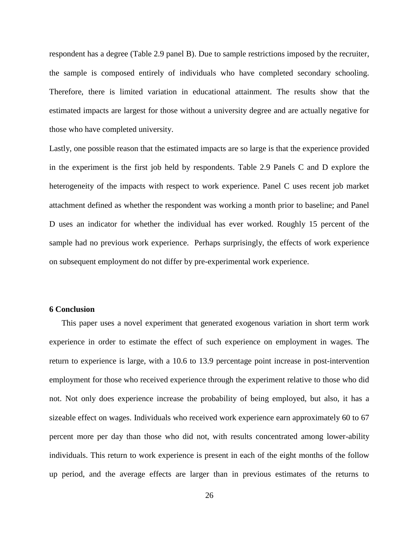respondent has a degree (Table 2.9 panel B). Due to sample restrictions imposed by the recruiter, the sample is composed entirely of individuals who have completed secondary schooling. Therefore, there is limited variation in educational attainment. The results show that the estimated impacts are largest for those without a university degree and are actually negative for those who have completed university.

Lastly, one possible reason that the estimated impacts are so large is that the experience provided in the experiment is the first job held by respondents. Table 2.9 Panels C and D explore the heterogeneity of the impacts with respect to work experience. Panel C uses recent job market attachment defined as whether the respondent was working a month prior to baseline; and Panel D uses an indicator for whether the individual has ever worked. Roughly 15 percent of the sample had no previous work experience. Perhaps surprisingly, the effects of work experience on subsequent employment do not differ by pre-experimental work experience.

# **6 Conclusion**

This paper uses a novel experiment that generated exogenous variation in short term work experience in order to estimate the effect of such experience on employment in wages. The return to experience is large, with a 10.6 to 13.9 percentage point increase in post-intervention employment for those who received experience through the experiment relative to those who did not. Not only does experience increase the probability of being employed, but also, it has a sizeable effect on wages. Individuals who received work experience earn approximately 60 to 67 percent more per day than those who did not, with results concentrated among lower-ability individuals. This return to work experience is present in each of the eight months of the follow up period, and the average effects are larger than in previous estimates of the returns to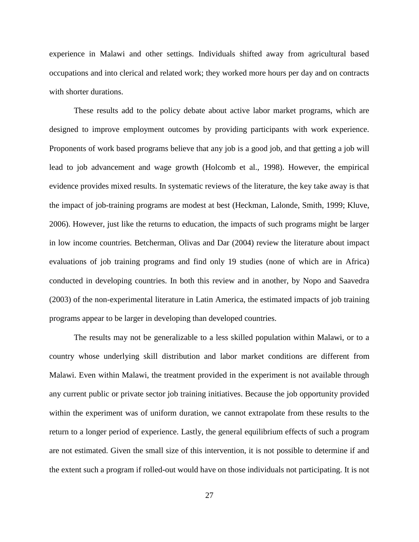experience in Malawi and other settings. Individuals shifted away from agricultural based occupations and into clerical and related work; they worked more hours per day and on contracts with shorter durations.

These results add to the policy debate about active labor market programs, which are designed to improve employment outcomes by providing participants with work experience. Proponents of work based programs believe that any job is a good job, and that getting a job will lead to job advancement and wage growth (Holcomb et al., 1998). However, the empirical evidence provides mixed results. In systematic reviews of the literature, the key take away is that the impact of job-training programs are modest at best (Heckman, Lalonde, Smith, 1999; Kluve, 2006). However, just like the returns to education, the impacts of such programs might be larger in low income countries. Betcherman, Olivas and Dar (2004) review the literature about impact evaluations of job training programs and find only 19 studies (none of which are in Africa) conducted in developing countries. In both this review and in another, by Nopo and Saavedra (2003) of the non-experimental literature in Latin America, the estimated impacts of job training programs appear to be larger in developing than developed countries.

The results may not be generalizable to a less skilled population within Malawi, or to a country whose underlying skill distribution and labor market conditions are different from Malawi. Even within Malawi, the treatment provided in the experiment is not available through any current public or private sector job training initiatives. Because the job opportunity provided within the experiment was of uniform duration, we cannot extrapolate from these results to the return to a longer period of experience. Lastly, the general equilibrium effects of such a program are not estimated. Given the small size of this intervention, it is not possible to determine if and the extent such a program if rolled-out would have on those individuals not participating. It is not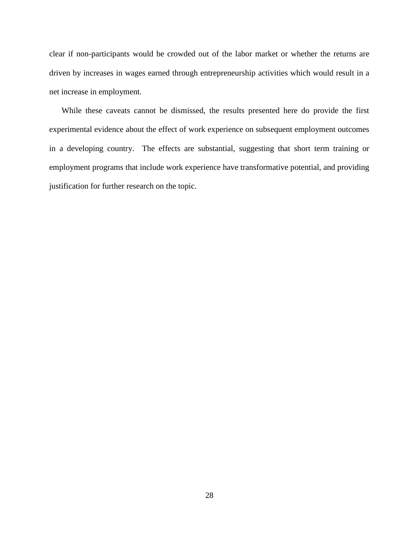clear if non-participants would be crowded out of the labor market or whether the returns are driven by increases in wages earned through entrepreneurship activities which would result in a net increase in employment.

While these caveats cannot be dismissed, the results presented here do provide the first experimental evidence about the effect of work experience on subsequent employment outcomes in a developing country. The effects are substantial, suggesting that short term training or employment programs that include work experience have transformative potential, and providing justification for further research on the topic.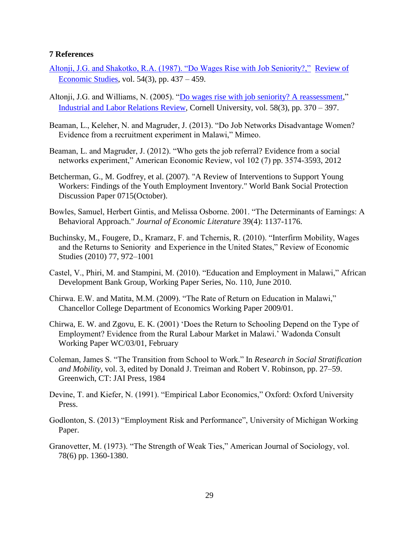## **7 References**

- [Altonji, J.G. and Shakotko, R.A. \(1987\). "Do Wages Rise with Job Seniority?,"](http://ideas.repec.org/a/bla/restud/v54y1987i3p437-59.html) [Review of](http://ideas.repec.org/s/bla/restud.html)  [Economic Studies,](http://ideas.repec.org/s/bla/restud.html) vol. 54(3), pp. 437 – 459.
- Altonji, J.G. and Williams, N. (2005). "Do wages rise with job seniority? A reassessment." [Industrial and Labor Relations Review,](http://ideas.repec.org/s/ilr/articl.html) Cornell University, vol. 58(3), pp. 370 – 397.
- Beaman, L., Keleher, N. and Magruder, J. (2013). "Do Job Networks Disadvantage Women? Evidence from a recruitment experiment in Malawi," Mimeo.
- Beaman, L. and Magruder, J. (2012). "Who gets the job referral? Evidence from a social networks experiment," American Economic Review, vol 102 (7) pp. 3574-3593, 2012
- Betcherman, G., M. Godfrey, et al. (2007). "A Review of Interventions to Support Young Workers: Findings of the Youth Employment Inventory." World Bank Social Protection Discussion Paper 0715(October).
- Bowles, Samuel, Herbert Gintis, and Melissa Osborne. 2001. "The Determinants of Earnings: A Behavioral Approach." *Journal of Economic Literature* 39(4): 1137-1176.
- Buchinsky, M., Fougere, D., Kramarz, F. and Tchernis, R. (2010). "Interfirm Mobility, Wages and the Returns to Seniority and Experience in the United States," Review of Economic Studies (2010) 77, 972–1001
- Castel, V., Phiri, M. and Stampini, M. (2010). "Education and Employment in Malawi," African Development Bank Group, Working Paper Series, No. 110, June 2010.
- Chirwa. E.W. and Matita, M.M. (2009). "The Rate of Return on Education in Malawi," Chancellor College Department of Economics Working Paper 2009/01.
- Chirwa, E. W. and Zgovu, E. K. (2001) 'Does the Return to Schooling Depend on the Type of Employment? Evidence from the Rural Labour Market in Malawi.' Wadonda Consult Working Paper WC/03/01, February
- Coleman, James S. "The Transition from School to Work." In *Research in Social Stratification and Mobility,* vol. 3, edited by Donald J. Treiman and Robert V. Robinson, pp. 27–59. Greenwich, CT: JAI Press, 1984
- Devine, T. and Kiefer, N. (1991). "Empirical Labor Economics," Oxford: Oxford University Press.
- Godlonton, S. (2013) "Employment Risk and Performance", University of Michigan Working Paper.
- Granovetter, M. (1973). "The Strength of Weak Ties," American Journal of Sociology, vol. 78(6) pp. 1360-1380.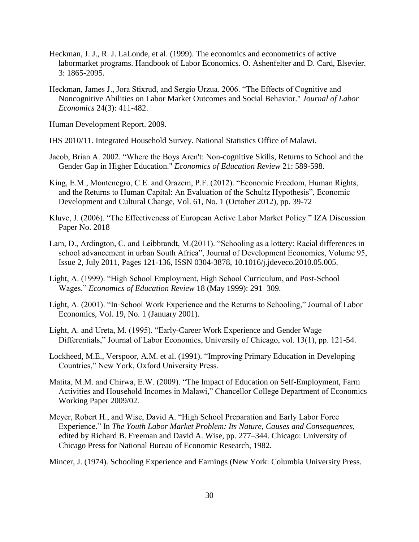- Heckman, J. J., R. J. LaLonde, et al. (1999). The economics and econometrics of active labormarket programs. Handbook of Labor Economics. O. Ashenfelter and D. Card, Elsevier. 3: 1865-2095.
- Heckman, James J., Jora Stixrud, and Sergio Urzua. 2006. "The Effects of Cognitive and Noncognitive Abilities on Labor Market Outcomes and Social Behavior." *Journal of Labor Economics* 24(3): 411-482.

Human Development Report. 2009.

- IHS 2010/11. Integrated Household Survey. National Statistics Office of Malawi.
- Jacob, Brian A. 2002. "Where the Boys Aren't: Non-cognitive Skills, Returns to School and the Gender Gap in Higher Education." *Economics of Education Review* 21: 589-598.
- King, E.M., Montenegro, C.E. and Orazem, P.F. (2012). "Economic Freedom, Human Rights, and the Returns to Human Capital: An Evaluation of the Schultz Hypothesis", Economic Development and Cultural Change, Vol. 61, No. 1 (October 2012), pp. 39-72
- Kluve, J. (2006). "The Effectiveness of European Active Labor Market Policy." IZA Discussion Paper No. 2018
- Lam, D., Ardington, C. and Leibbrandt, M.(2011). "Schooling as a lottery: Racial differences in school advancement in urban South Africa", Journal of Development Economics, Volume 95, Issue 2, July 2011, Pages 121-136, ISSN 0304-3878, 10.1016/j.jdeveco.2010.05.005.
- Light, A. (1999). "High School Employment, High School Curriculum, and Post-School Wages." *Economics of Education Review* 18 (May 1999): 291–309.
- Light, A. (2001). "In‐School Work Experience and the Returns to Schooling," Journal of Labor Economics, Vol. 19, No. 1 (January 2001).
- Light, A. and Ureta, M. (1995). "Early-Career Work Experience and Gender Wage Differentials," Journal of Labor Economics, University of Chicago, vol. 13(1), pp. 121-54.
- Lockheed, M.E., Verspoor, A.M. et al. (1991). "Improving Primary Education in Developing Countries," New York, Oxford University Press.
- Matita, M.M. and Chirwa, E.W. (2009). "The Impact of Education on Self-Employment, Farm Activities and Household Incomes in Malawi," Chancellor College Department of Economics Working Paper 2009/02.
- Meyer, Robert H., and Wise, David A. "High School Preparation and Early Labor Force Experience." In *The Youth Labor Market Problem: Its Nature, Causes and Consequences,*  edited by Richard B. Freeman and David A. Wise, pp. 277–344. Chicago: University of Chicago Press for National Bureau of Economic Research, 1982.
- Mincer, J. (1974). Schooling Experience and Earnings (New York: Columbia University Press.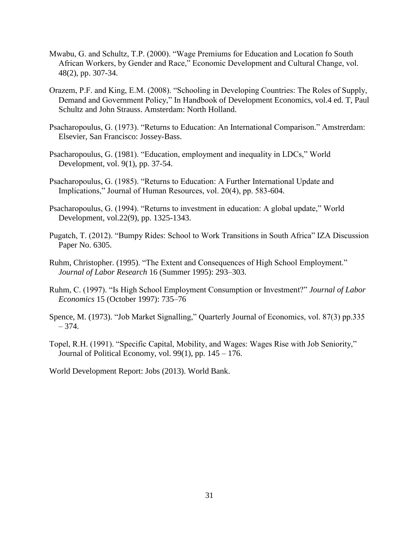- Mwabu, G. and Schultz, T.P. (2000). "Wage Premiums for Education and Location fo South African Workers, by Gender and Race," Economic Development and Cultural Change, vol. 48(2), pp. 307-34.
- Orazem, P.F. and King, E.M. (2008). "Schooling in Developing Countries: The Roles of Supply, Demand and Government Policy," In Handbook of Development Economics, vol.4 ed. T, Paul Schultz and John Strauss. Amsterdam: North Holland.
- Psacharopoulus, G. (1973). "Returns to Education: An International Comparison." Amstrerdam: Elsevier, San Francisco: Jossey-Bass.
- Psacharopoulus, G. (1981). "Education, employment and inequality in LDCs," World Development, vol. 9(1), pp. 37-54.
- Psacharopoulus, G. (1985). "Returns to Education: A Further International Update and Implications," Journal of Human Resources, vol. 20(4), pp. 583-604.
- Psacharopoulus, G. (1994). "Returns to investment in education: A global update," World Development, vol.22(9), pp. 1325-1343.
- Pugatch, T. (2012). "Bumpy Rides: School to Work Transitions in South Africa" IZA Discussion Paper No. 6305.
- Ruhm, Christopher. (1995). "The Extent and Consequences of High School Employment." *Journal of Labor Research* 16 (Summer 1995): 293–303.
- Ruhm, C. (1997). "Is High School Employment Consumption or Investment?" *Journal of Labor Economics* 15 (October 1997): 735–76
- Spence, M. (1973). "Job Market Signalling," Quarterly Journal of Economics, vol. 87(3) pp.335 – 374.
- Topel, R.H. (1991). "Specific Capital, Mobility, and Wages: Wages Rise with Job Seniority," Journal of Political Economy, vol. 99(1), pp.  $145 - 176$ .

World Development Report: Jobs (2013). World Bank.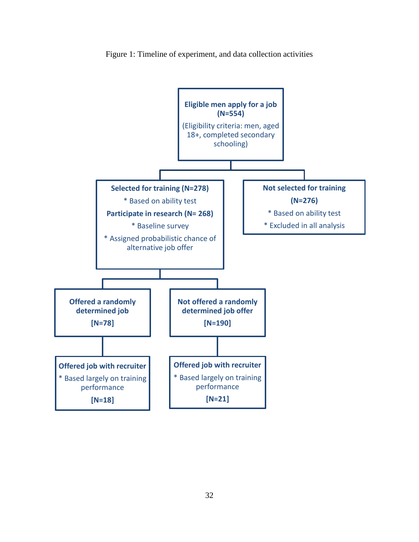

Figure 1: Timeline of experiment, and data collection activities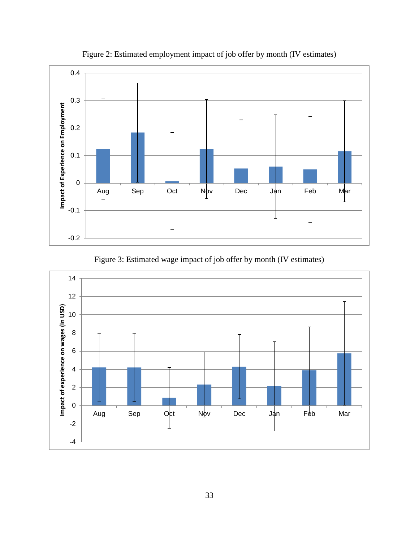

Figure 2: Estimated employment impact of job offer by month (IV estimates)

Figure 3: Estimated wage impact of job offer by month (IV estimates)

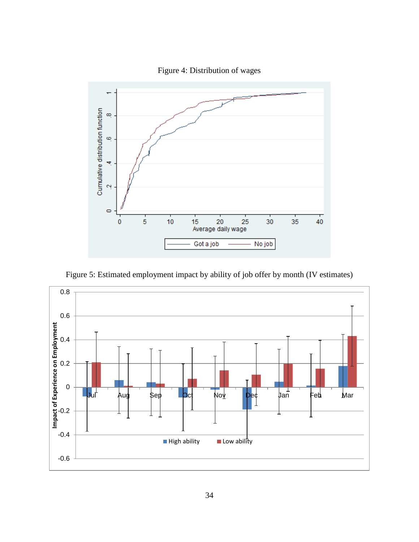



Figure 5: Estimated employment impact by ability of job offer by month (IV estimates)

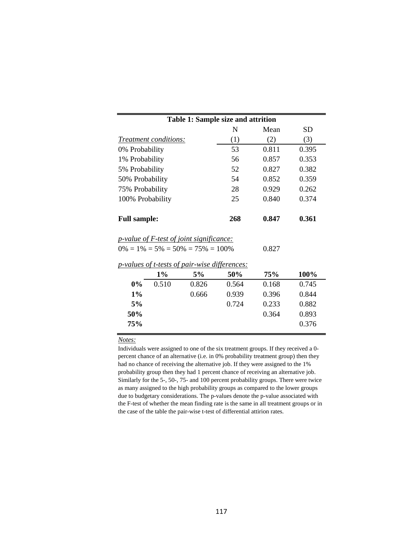| <b>Table 1: Sample size and attrition</b>                                                  |       |       |       |  |  |  |  |
|--------------------------------------------------------------------------------------------|-------|-------|-------|--|--|--|--|
|                                                                                            | N     | Mean  | SD    |  |  |  |  |
| <i>Treatment conditions:</i>                                                               | (1)   | (2)   | (3)   |  |  |  |  |
| 0% Probability                                                                             | 53    | 0.811 | 0.395 |  |  |  |  |
| 1% Probability                                                                             | 56    | 0.857 | 0.353 |  |  |  |  |
| 5% Probability                                                                             | 52    | 0.827 | 0.382 |  |  |  |  |
| 50% Probability                                                                            | 54    | 0.852 | 0.359 |  |  |  |  |
| 75% Probability                                                                            | 28    | 0.929 | 0.262 |  |  |  |  |
| 100% Probability                                                                           | 25    | 0.840 | 0.374 |  |  |  |  |
| <b>Full sample:</b>                                                                        | 0.847 | 0.361 |       |  |  |  |  |
| <i>p-value of F-test of joint significance:</i><br>$0\% = 1\% = 5\% = 50\% = 75\% = 100\%$ | 0.827 |       |       |  |  |  |  |
| <i>p-values of t-tests of pair-wise differences:</i>                                       |       |       |       |  |  |  |  |

|       | $1\%$ | 5%    | 50%   | 75%   | 100%  |
|-------|-------|-------|-------|-------|-------|
| $0\%$ | 0.510 | 0.826 | 0.564 | 0.168 | 0.745 |
| $1\%$ |       | 0.666 | 0.939 | 0.396 | 0.844 |
| 5%    |       |       | 0.724 | 0.233 | 0.882 |
| 50%   |       |       |       | 0.364 | 0.893 |
| 75%   |       |       |       |       | 0.376 |
|       |       |       |       |       |       |

Individuals were assigned to one of the six treatment groups. If they received a 0 percent chance of an alternative (i.e. in 0% probability treatment group) then they had no chance of receiving the alternative job. If they were assigned to the 1% probability group then they had 1 percent chance of receiving an alternative job. Similarly for the 5-, 50-, 75- and 100 percent probability groups. There were twice as many assigned to the high probability groups as compared to the lower groups due to budgetary considerations. The p-values denote the p-value associated with the F-test of whether the mean finding rate is the same in all treatment groups or in the case of the table the pair-wise t-test of differential attirion rates.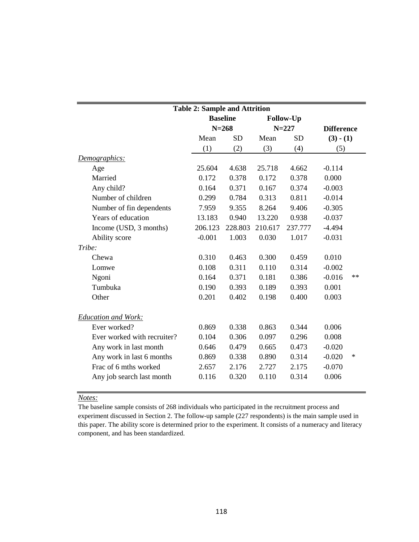| <b>Table 2: Sample and Attrition</b> |          |                 |           |                  |                   |        |
|--------------------------------------|----------|-----------------|-----------|------------------|-------------------|--------|
|                                      |          | <b>Baseline</b> |           | <b>Follow-Up</b> |                   |        |
|                                      |          | $N = 268$       | $N = 227$ |                  | <b>Difference</b> |        |
|                                      | Mean     | <b>SD</b>       | Mean      | <b>SD</b>        | $(3) - (1)$       |        |
|                                      | (1)      | (2)             | (3)       | (4)              | (5)               |        |
| Demographics:                        |          |                 |           |                  |                   |        |
| Age                                  | 25.604   | 4.638           | 25.718    | 4.662            | $-0.114$          |        |
| Married                              | 0.172    | 0.378           | 0.172     | 0.378            | 0.000             |        |
| Any child?                           | 0.164    | 0.371           | 0.167     | 0.374            | $-0.003$          |        |
| Number of children                   | 0.299    | 0.784           | 0.313     | 0.811            | $-0.014$          |        |
| Number of fin dependents             | 7.959    | 9.355           | 8.264     | 9.406            | $-0.305$          |        |
| Years of education                   | 13.183   | 0.940           | 13.220    | 0.938            | $-0.037$          |        |
| Income (USD, 3 months)               | 206.123  | 228.803         | 210.617   | 237.777          | $-4.494$          |        |
| Ability score                        | $-0.001$ | 1.003           | 0.030     | 1.017            | $-0.031$          |        |
| Tribe:                               |          |                 |           |                  |                   |        |
| Chewa                                | 0.310    | 0.463           | 0.300     | 0.459            | 0.010             |        |
| Lomwe                                | 0.108    | 0.311           | 0.110     | 0.314            | $-0.002$          |        |
| Ngoni                                | 0.164    | 0.371           | 0.181     | 0.386            | $-0.016$          | $**$   |
| Tumbuka                              | 0.190    | 0.393           | 0.189     | 0.393            | 0.001             |        |
| Other                                | 0.201    | 0.402           | 0.198     | 0.400            | 0.003             |        |
| <b>Education and Work:</b>           |          |                 |           |                  |                   |        |
| Ever worked?                         | 0.869    | 0.338           | 0.863     | 0.344            | 0.006             |        |
| Ever worked with recruiter?          | 0.104    | 0.306           | 0.097     | 0.296            | 0.008             |        |
| Any work in last month               | 0.646    | 0.479           | 0.665     | 0.473            | $-0.020$          |        |
| Any work in last 6 months            | 0.869    | 0.338           | 0.890     | 0.314            | $-0.020$          | $\ast$ |
| Frac of 6 mths worked                | 2.657    | 2.176           | 2.727     | 2.175            | $-0.070$          |        |
| Any job search last month            | 0.116    | 0.320           | 0.110     | 0.314            | 0.006             |        |

The baseline sample consists of 268 individuals who participated in the recruitment process and experiment discussed in Section 2. The follow-up sample (227 respondents) is the main sample used in this paper. The ability score is determined prior to the experiment. It consists of a numeracy and literacy component, and has been standardized.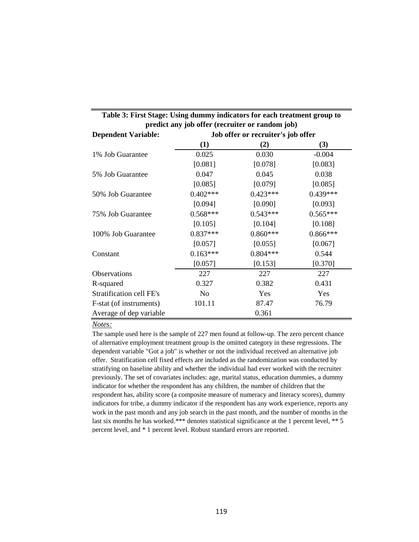| Table 3: First Stage: Using dummy indicators for each treatment group to |                                                 |                                    |            |  |  |  |  |  |
|--------------------------------------------------------------------------|-------------------------------------------------|------------------------------------|------------|--|--|--|--|--|
|                                                                          | predict any job offer (recruiter or random job) |                                    |            |  |  |  |  |  |
| <b>Dependent Variable:</b>                                               |                                                 | Job offer or recruiter's job offer |            |  |  |  |  |  |
|                                                                          | (1)                                             | (2)                                | (3)        |  |  |  |  |  |
| 1% Job Guarantee                                                         | 0.025                                           | 0.030                              | $-0.004$   |  |  |  |  |  |
|                                                                          | [0.081]                                         | [0.078]                            | [0.083]    |  |  |  |  |  |
| 5% Job Guarantee                                                         | 0.047                                           | 0.045                              | 0.038      |  |  |  |  |  |
|                                                                          | [0.085]                                         | [0.079]                            | [0.085]    |  |  |  |  |  |
| 50% Job Guarantee                                                        | $0.402***$                                      | $0.423***$                         | $0.439***$ |  |  |  |  |  |
|                                                                          | [0.094]                                         | [0.090]                            | [0.093]    |  |  |  |  |  |
| 75% Job Guarantee                                                        | $0.568***$                                      | $0.543***$                         | $0.565***$ |  |  |  |  |  |
|                                                                          | [0.105]                                         | [0.104]                            | [0.108]    |  |  |  |  |  |
| 100% Job Guarantee                                                       | $0.837***$                                      | $0.860***$                         | $0.866***$ |  |  |  |  |  |
|                                                                          | [0.057]                                         | [0.055]                            | [0.067]    |  |  |  |  |  |
| Constant                                                                 | $0.163***$                                      | $0.804***$                         | 0.544      |  |  |  |  |  |
|                                                                          | [0.057]                                         | [0.153]                            | [0.370]    |  |  |  |  |  |
| Observations                                                             | 227                                             | 227                                | 227        |  |  |  |  |  |
| R-squared                                                                | 0.327                                           | 0.382                              | 0.431      |  |  |  |  |  |
| Stratification cell FE's                                                 | No                                              | Yes                                | Yes        |  |  |  |  |  |
| F-stat (of instruments)                                                  | 101.11                                          | 87.47                              | 76.79      |  |  |  |  |  |
| Average of dep variable                                                  |                                                 | 0.361                              |            |  |  |  |  |  |

The sample used here is the sample of 227 men found at follow-up. The zero percent chance of alternative employment treatment group is the omitted category in these regressions. The dependent variable "Got a job" is whether or not the individual received an alternative job offer. Stratification cell fixed effects are included as the randomization was conducted by stratifying on baseline ability and whether the individual had ever worked with the recruiter previously. The set of covariates includes: age, marital status, education dummies, a dummy indicator for whether the respondent has any children, the number of children that the respondent has, ability score (a composite measure of numeracy and literacy scores), dummy indicators for tribe, a dummy indicator if the respondent has any work experience, reports any work in the past month and any job search in the past month, and the number of months in the last six months he has worked.\*\*\* denotes statistical significance at the 1 percent level, \*\* 5 percent level, and \* 1 percent level. Robust standard errors are reported.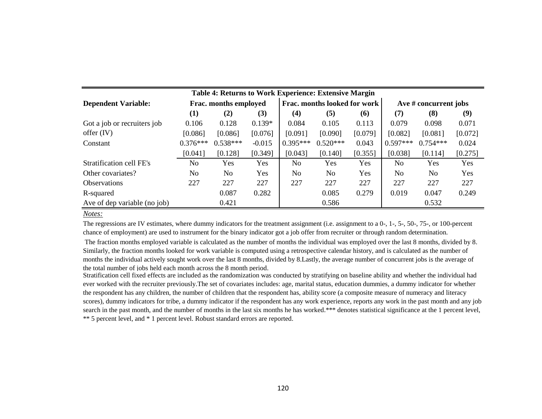| Table 4: Returns to Work Experience: Extensive Margin |                |                       |            |                              |            |         |                         |                |         |
|-------------------------------------------------------|----------------|-----------------------|------------|------------------------------|------------|---------|-------------------------|----------------|---------|
| <b>Dependent Variable:</b>                            |                | Frac. months employed |            | Frac. months looked for work |            |         | Ave $#$ concurrent jobs |                |         |
|                                                       | $\bf(1)$       | (2)                   | (3)        | (4)                          | (5)        | (6)     | (7)                     | (8)            | (9)     |
| Got a job or recruiters job                           | 0.106          | 0.128                 | $0.139*$   | 0.084                        | 0.105      | 0.113   | 0.079                   | 0.098          | 0.071   |
| offer $(IV)$                                          | [0.086]        | [0.086]               | [0.076]    | [0.091]                      | [0.090]    | [0.079] | [0.082]                 | [0.081]        | [0.072] |
| Constant                                              | $0.376***$     | $0.538***$            | $-0.015$   | $0.395***$                   | $0.520***$ | 0.043   | $0.597***$              | $0.754***$     | 0.024   |
|                                                       | [0.041]        | [0.128]               | [0.349]    | [0.043]                      | [0.140]    | [0.355] | [0.038]                 | [0.114]        | [0.275] |
| Stratification cell FE's                              | N <sub>0</sub> | Yes                   | <b>Yes</b> | N <sub>0</sub>               | Yes        | Yes     | No                      | <b>Yes</b>     | Yes     |
| Other covariates?                                     | N <sub>0</sub> | No                    | <b>Yes</b> | N <sub>o</sub>               | No         | Yes     | No.                     | N <sub>0</sub> | Yes     |
| <b>Observations</b>                                   | 227            | 227                   | 227        | 227                          | 227        | 227     | 227                     | 227            | 227     |
| R-squared                                             |                | 0.087                 | 0.282      |                              | 0.085      | 0.279   | 0.019                   | 0.047          | 0.249   |
| Ave of dep variable (no job)                          |                | 0.421                 |            |                              | 0.586      |         |                         | 0.532          |         |

The regressions are IV estimates, where dummy indicators for the treatment assignment (i.e. assignment to a 0-, 1-, 5-, 50-, 75-, or 100-percent chance of employment) are used to instrument for the binary indicator got a job offer from recruiter or through random determination.

 The fraction months employed variable is calculated as the number of months the individual was employed over the last 8 months, divided by 8. Similarly, the fraction months looked for work variable is computed using a retrospective calendar history, and is calculated as the number of months the individual actively sought work over the last 8 months, divided by 8.Lastly, the average number of concurrent jobs is the average of the total number of jobs held each month across the 8 month period.

Stratification cell fixed effects are included as the randomization was conducted by stratifying on baseline ability and whether the individual had ever worked with the recruiter previously.The set of covariates includes: age, marital status, education dummies, a dummy indicator for whether the respondent has any children, the number of children that the respondent has, ability score (a composite measure of numeracy and literacy scores), dummy indicators for tribe, a dummy indicator if the respondent has any work experience, reports any work in the past month and any job search in the past month, and the number of months in the last six months he has worked.\*\*\* denotes statistical significance at the 1 percent level, \*\* 5 percent level, and \* 1 percent level. Robust standard errors are reported.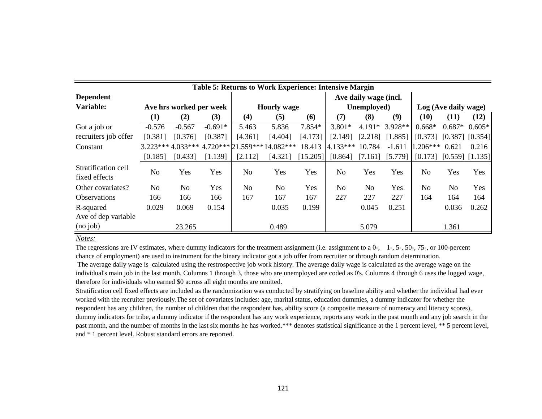| Table 5: Returns to Work Experience: Intensive Margin |          |                         |           |                              |                    |         |                      |                       |           |                               |                      |          |  |
|-------------------------------------------------------|----------|-------------------------|-----------|------------------------------|--------------------|---------|----------------------|-----------------------|-----------|-------------------------------|----------------------|----------|--|
| <b>Dependent</b>                                      |          |                         |           |                              |                    |         |                      | Ave daily wage (incl. |           |                               |                      |          |  |
| Variable:                                             |          | Ave hrs worked per week |           |                              | <b>Hourly wage</b> |         | Unemployed)          |                       |           |                               | Log (Ave daily wage) |          |  |
|                                                       | (1)      | (2)                     | (3)       | (4)                          | (5)                | (6)     | (7)                  | (8)                   | (9)       | (10)                          | (11)                 | (12)     |  |
| Got a job or                                          | $-0.576$ | $-0.567$                | $-0.691*$ | 5.463                        | 5.836              | 7.854*  | $3.801*$             | $4.191*$              | $3.928**$ | $0.668*$                      | $0.687*$             | $0.605*$ |  |
| recruiters job offer                                  | [0.381]  | [0.376]                 | [0.387]   | [4.361]                      | [4.404]            | [4.173] | [2.149]              | [2.218]               | [1.885]   | $[0.373]$ $[0.387]$ $[0.354]$ |                      |          |  |
| Constant                                              |          | $3.223***4.033***$      |           | $4.720***21.559***14.082***$ |                    | 18.413  | $4.133***$           | 10.784                | $-1.611$  | $1.206***$                    | 0.621                | 0.216    |  |
|                                                       | [0.185]  | [0.433]                 | [1.139]   | [2.112]                      | [4.321]            |         | $[15.205]$ $[0.864]$ | $[7.161]$ $[5.779]$   |           | $[0.173]$ $[0.559]$ $[1.135]$ |                      |          |  |
| Stratification cell<br>fixed effects                  | No       | Yes                     | Yes       | N <sub>o</sub>               | Yes                | Yes     | No                   | Yes                   | Yes       | N <sub>o</sub>                | Yes                  | Yes      |  |
| Other covariates?                                     | No       | N <sub>0</sub>          | Yes       | N <sub>0</sub>               | No                 | Yes     | No.                  | N <sub>0</sub>        | Yes       | N <sub>0</sub>                | N <sub>0</sub>       | Yes      |  |
| <b>Observations</b>                                   | 166      | 166                     | 166       | 167                          | 167                | 167     | 227                  | 227                   | 227       | 164                           | 164                  | 164      |  |
| R-squared                                             | 0.029    | 0.069                   | 0.154     |                              | 0.035              | 0.199   |                      | 0.045                 | 0.251     |                               | 0.036                | 0.262    |  |
| Ave of dep variable                                   |          |                         |           |                              |                    |         |                      |                       |           |                               |                      |          |  |
| (no job)                                              |          | 23.265                  |           |                              | 0.489              |         |                      | 5.079                 |           |                               | 1.361                |          |  |

The regressions are IV estimates, where dummy indicators for the treatment assignment (i.e. assignment to a 0-, 1-, 5-, 50-, 75-, or 100-percent chance of employment) are used to instrument for the binary indicator got a job offer from recruiter or through random determination.

 The average daily wage is calculated using the restrospective job work history. The average daily wage is calculated as the average wage on the individual's main job in the last month. Columns 1 through 3, those who are unemployed are coded as 0's. Columns 4 through 6 uses the logged wage, therefore for individuals who earned \$0 across all eight months are omitted.

Stratification cell fixed effects are included as the randomization was conducted by stratifying on baseline ability and whether the individual had ever worked with the recruiter previously.The set of covariates includes: age, marital status, education dummies, a dummy indicator for whether the respondent has any children, the number of children that the respondent has, ability score (a composite measure of numeracy and literacy scores), dummy indicators for tribe, a dummy indicator if the respondent has any work experience, reports any work in the past month and any job search in the past month, and the number of months in the last six months he has worked.\*\*\* denotes statistical significance at the 1 percent level, \*\* 5 percent level, and \* 1 percent level. Robust standard errors are reported.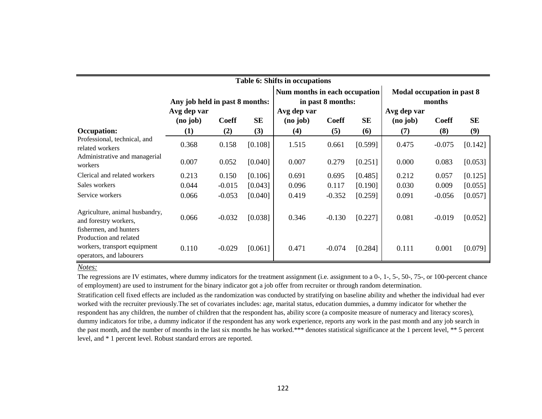| Table 6: Shifts in occupations                                                     |                                     |              |           |                                     |                                                    |           |                                     |                                      |           |  |
|------------------------------------------------------------------------------------|-------------------------------------|--------------|-----------|-------------------------------------|----------------------------------------------------|-----------|-------------------------------------|--------------------------------------|-----------|--|
|                                                                                    | Any job held in past 8 months:      |              |           |                                     | Num months in each occupation<br>in past 8 months: |           |                                     | Modal occupation in past 8<br>months |           |  |
|                                                                                    | Avg dep var<br>(no <sub>j</sub> ob) | <b>Coeff</b> | <b>SE</b> | Avg dep var<br>(no <sub>j</sub> ob) | <b>Coeff</b>                                       | <b>SE</b> | Avg dep var<br>(no <sub>j</sub> ob) | <b>Coeff</b>                         | <b>SE</b> |  |
| Occupation:                                                                        | (1)                                 | (2)          | (3)       | (4)                                 | (5)                                                | (6)       | (7)                                 | (8)                                  | (9)       |  |
| Professional, technical, and<br>related workers                                    | 0.368                               | 0.158        | [0.108]   | 1.515                               | 0.661                                              | [0.599]   | 0.475                               | $-0.075$                             | [0.142]   |  |
| Administrative and managerial<br>workers                                           | 0.007                               | 0.052        | [0.040]   | 0.007                               | 0.279                                              | [0.251]   | 0.000                               | 0.083                                | [0.053]   |  |
| Clerical and related workers                                                       | 0.213                               | 0.150        | [0.106]   | 0.691                               | 0.695                                              | [0.485]   | 0.212                               | 0.057                                | [0.125]   |  |
| Sales workers                                                                      | 0.044                               | $-0.015$     | [0.043]   | 0.096                               | 0.117                                              | [0.190]   | 0.030                               | 0.009                                | [0.055]   |  |
| Service workers                                                                    | 0.066                               | $-0.053$     | [0.040]   | 0.419                               | $-0.352$                                           | [0.259]   | 0.091                               | $-0.056$                             | [0.057]   |  |
| Agriculture, animal husbandry,<br>and forestry workers,<br>fishermen, and hunters  | 0.066                               | $-0.032$     | [0.038]   | 0.346                               | $-0.130$                                           | [0.227]   | 0.081                               | $-0.019$                             | [0.052]   |  |
| Production and related<br>workers, transport equipment<br>operators, and labourers | 0.110                               | $-0.029$     | [0.061]   | 0.471                               | $-0.074$                                           | [0.284]   | 0.111                               | 0.001                                | [0.079]   |  |

Stratification cell fixed effects are included as the randomization was conducted by stratifying on baseline ability and whether the individual had ever worked with the recruiter previously.The set of covariates includes: age, marital status, education dummies, a dummy indicator for whether the respondent has any children, the number of children that the respondent has, ability score (a composite measure of numeracy and literacy scores), dummy indicators for tribe, a dummy indicator if the respondent has any work experience, reports any work in the past month and any job search in the past month, and the number of months in the last six months he has worked.\*\*\* denotes statistical significance at the 1 percent level, \*\* 5 percent level, and \* 1 percent level. Robust standard errors are reported. The regressions are IV estimates, where dummy indicators for the treatment assignment (i.e. assignment to a 0-, 1-, 5-, 50-, 75-, or 100-percent chance of employment) are used to instrument for the binary indicator got a job offer from recruiter or through random determination.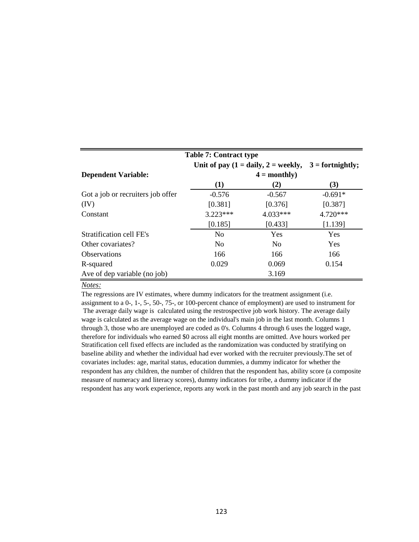| <b>Table 7: Contract type</b>                                             |                |                |           |  |  |  |  |
|---------------------------------------------------------------------------|----------------|----------------|-----------|--|--|--|--|
| Unit of pay $(1 = \text{daily}, 2 = \text{weekly},$<br>$3 =$ fortnightly; |                |                |           |  |  |  |  |
| <b>Dependent Variable:</b>                                                |                | $4 = monthly$  |           |  |  |  |  |
|                                                                           | (1)            | (2)            | (3)       |  |  |  |  |
| Got a job or recruiters job offer                                         | $-0.576$       | $-0.567$       | $-0.691*$ |  |  |  |  |
| (IV)                                                                      | [0.381]        | [0.376]        | [0.387]   |  |  |  |  |
| Constant                                                                  | $3.223***$     | 4.033***       | 4.720***  |  |  |  |  |
|                                                                           | [0.185]        | [0.433]        | [1.139]   |  |  |  |  |
| Stratification cell FE's                                                  | N <sub>0</sub> | <b>Yes</b>     | Yes       |  |  |  |  |
| Other covariates?                                                         | N <sub>0</sub> | N <sub>0</sub> | Yes       |  |  |  |  |
| Observations                                                              | 166            | 166            | 166       |  |  |  |  |
| R-squared                                                                 | 0.029          | 0.069          | 0.154     |  |  |  |  |
| Ave of dep variable (no job)                                              |                | 3.169          |           |  |  |  |  |

The regressions are IV estimates, where dummy indicators for the treatment assignment (i.e. assignment to a 0-, 1-, 5-, 50-, 75-, or 100-percent chance of employment) are used to instrument for The average daily wage is calculated using the restrospective job work history. The average daily wage is calculated as the average wage on the individual's main job in the last month. Columns 1 through 3, those who are unemployed are coded as 0's. Columns 4 through 6 uses the logged wage, therefore for individuals who earned \$0 across all eight months are omitted. Ave hours worked per Stratification cell fixed effects are included as the randomization was conducted by stratifying on baseline ability and whether the individual had ever worked with the recruiter previously.The set of covariates includes: age, marital status, education dummies, a dummy indicator for whether the respondent has any children, the number of children that the respondent has, ability score (a composite measure of numeracy and literacy scores), dummy indicators for tribe, a dummy indicator if the respondent has any work experience, reports any work in the past month and any job search in the past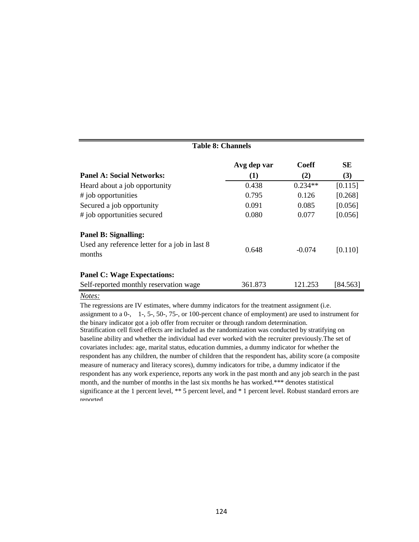| <b>Table 8: Channels</b> |              |           |  |  |  |  |
|--------------------------|--------------|-----------|--|--|--|--|
| Avg dep var              | <b>Coeff</b> | <b>SE</b> |  |  |  |  |
| (1)                      | (2)          | (3)       |  |  |  |  |
| 0.438                    | $0.234**$    | [0.115]   |  |  |  |  |
| 0.795                    | 0.126        | [0.268]   |  |  |  |  |
| 0.091                    | 0.085        | [0.056]   |  |  |  |  |
| 0.080                    | 0.077        | [0.056]   |  |  |  |  |
|                          |              |           |  |  |  |  |
| 0.648                    | $-0.074$     | [0.110]   |  |  |  |  |
|                          |              |           |  |  |  |  |
| 361.873                  | 121.253      | [84.563]  |  |  |  |  |
|                          |              |           |  |  |  |  |

The regressions are IV estimates, where dummy indicators for the treatment assignment (i.e. assignment to a 0-, 1-, 5-, 50-, 75-, or 100-percent chance of employment) are used to instrument for the binary indicator got a job offer from recruiter or through random determination. Stratification cell fixed effects are included as the randomization was conducted by stratifying on baseline ability and whether the individual had ever worked with the recruiter previously.The set of covariates includes: age, marital status, education dummies, a dummy indicator for whether the respondent has any children, the number of children that the respondent has, ability score (a composite measure of numeracy and literacy scores), dummy indicators for tribe, a dummy indicator if the respondent has any work experience, reports any work in the past month and any job search in the past month, and the number of months in the last six months he has worked.\*\*\* denotes statistical significance at the 1 percent level, \*\* 5 percent level, and \* 1 percent level. Robust standard errors are reported.